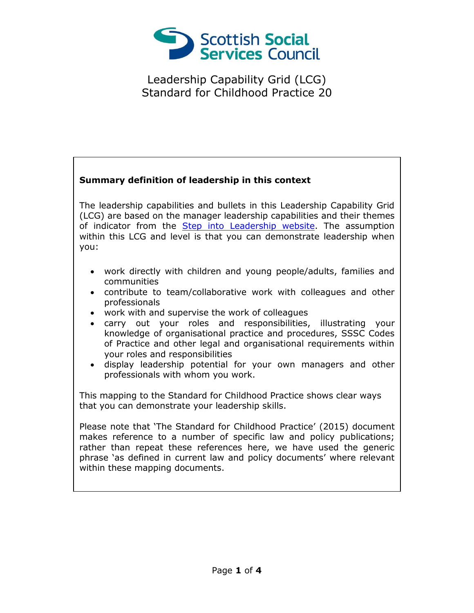

## **Summary definition of leadership in this context**

The leadership capabilities and bullets in this Leadership Capability Grid (LCG) are based on the manager leadership capabilities and their themes of indicator from the [Step into Leadership website.](http://www.stepintoleadership.info/) The assumption within this LCG and level is that you can demonstrate leadership when you:

- work directly with children and young people/adults, families and communities
- contribute to team/collaborative work with colleagues and other professionals
- work with and supervise the work of colleagues
- carry out your roles and responsibilities, illustrating your knowledge of organisational practice and procedures, SSSC Codes of Practice and other legal and organisational requirements within your roles and responsibilities
- display leadership potential for your own managers and other professionals with whom you work.

This mapping to the Standard for Childhood Practice shows clear ways that you can demonstrate your leadership skills.

Please note that 'The Standard for Childhood Practice' (2015) document makes reference to a number of specific law and policy publications; rather than repeat these references here, we have used the generic phrase 'as defined in current law and policy documents' where relevant within these mapping documents.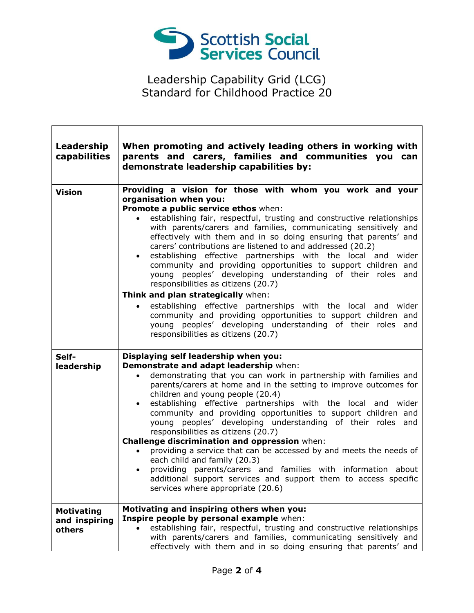

Г

| Leadership<br>capabilities | When promoting and actively leading others in working with<br>parents and carers, families and communities you can<br>demonstrate leadership capabilities by:                                                                                                                                                                                                                                                                                                                                                                                                                                                                                                                                      |
|----------------------------|----------------------------------------------------------------------------------------------------------------------------------------------------------------------------------------------------------------------------------------------------------------------------------------------------------------------------------------------------------------------------------------------------------------------------------------------------------------------------------------------------------------------------------------------------------------------------------------------------------------------------------------------------------------------------------------------------|
| <b>Vision</b>              | Providing a vision for those with whom you work and your<br>organisation when you:<br>Promote a public service ethos when:<br>establishing fair, respectful, trusting and constructive relationships<br>with parents/carers and families, communicating sensitively and<br>effectively with them and in so doing ensuring that parents' and<br>carers' contributions are listened to and addressed (20.2)<br>establishing effective partnerships with the local and wider<br>$\bullet$<br>community and providing opportunities to support children and<br>young peoples' developing understanding of their roles and<br>responsibilities as citizens (20.7)<br>Think and plan strategically when: |
|                            |                                                                                                                                                                                                                                                                                                                                                                                                                                                                                                                                                                                                                                                                                                    |
|                            | establishing effective partnerships with the local and wider<br>community and providing opportunities to support children and<br>young peoples' developing understanding of their roles and<br>responsibilities as citizens (20.7)                                                                                                                                                                                                                                                                                                                                                                                                                                                                 |
| Self-                      | Displaying self leadership when you:                                                                                                                                                                                                                                                                                                                                                                                                                                                                                                                                                                                                                                                               |
| leadership                 | Demonstrate and adapt leadership when:                                                                                                                                                                                                                                                                                                                                                                                                                                                                                                                                                                                                                                                             |
|                            | demonstrating that you can work in partnership with families and<br>parents/carers at home and in the setting to improve outcomes for<br>children and young people (20.4)<br>establishing effective partnerships with the local and wider<br>$\bullet$<br>community and providing opportunities to support children and<br>young peoples' developing understanding of their roles and<br>responsibilities as citizens (20.7)                                                                                                                                                                                                                                                                       |
|                            | Challenge discrimination and oppression when:                                                                                                                                                                                                                                                                                                                                                                                                                                                                                                                                                                                                                                                      |
|                            | providing a service that can be accessed by and meets the needs of<br>each child and family (20.3)<br>providing parents/carers and families with information about<br>additional support services and support them to access specific<br>services where appropriate (20.6)                                                                                                                                                                                                                                                                                                                                                                                                                         |
| <b>Motivating</b>          | Motivating and inspiring others when you:                                                                                                                                                                                                                                                                                                                                                                                                                                                                                                                                                                                                                                                          |
| and inspiring<br>others    | Inspire people by personal example when:<br>establishing fair, respectful, trusting and constructive relationships<br>with parents/carers and families, communicating sensitively and<br>effectively with them and in so doing ensuring that parents' and                                                                                                                                                                                                                                                                                                                                                                                                                                          |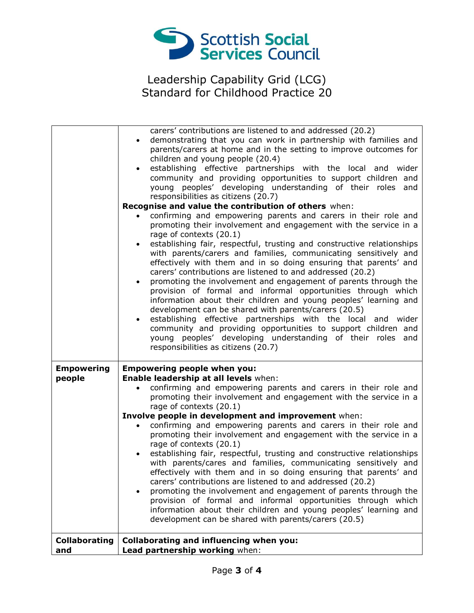

|                             | carers' contributions are listened to and addressed (20.2)<br>demonstrating that you can work in partnership with families and<br>$\bullet$<br>parents/carers at home and in the setting to improve outcomes for<br>children and young people (20.4)<br>establishing effective partnerships with the local and wider<br>$\bullet$<br>community and providing opportunities to support children and<br>young peoples' developing understanding of their roles and<br>responsibilities as citizens (20.7)<br>Recognise and value the contribution of others when:<br>confirming and empowering parents and carers in their role and<br>promoting their involvement and engagement with the service in a<br>rage of contexts (20.1)<br>establishing fair, respectful, trusting and constructive relationships<br>$\bullet$<br>with parents/carers and families, communicating sensitively and<br>effectively with them and in so doing ensuring that parents' and<br>carers' contributions are listened to and addressed (20.2)<br>promoting the involvement and engagement of parents through the<br>provision of formal and informal opportunities through which<br>information about their children and young peoples' learning and<br>development can be shared with parents/carers (20.5)<br>establishing effective partnerships with the local and wider<br>$\bullet$<br>community and providing opportunities to support children and<br>young peoples' developing understanding of their roles and<br>responsibilities as citizens (20.7) |
|-----------------------------|------------------------------------------------------------------------------------------------------------------------------------------------------------------------------------------------------------------------------------------------------------------------------------------------------------------------------------------------------------------------------------------------------------------------------------------------------------------------------------------------------------------------------------------------------------------------------------------------------------------------------------------------------------------------------------------------------------------------------------------------------------------------------------------------------------------------------------------------------------------------------------------------------------------------------------------------------------------------------------------------------------------------------------------------------------------------------------------------------------------------------------------------------------------------------------------------------------------------------------------------------------------------------------------------------------------------------------------------------------------------------------------------------------------------------------------------------------------------------------------------------------------------------------------------|
| <b>Empowering</b><br>people | <b>Empowering people when you:</b><br>Enable leadership at all levels when:<br>confirming and empowering parents and carers in their role and<br>promoting their involvement and engagement with the service in a<br>rage of contexts (20.1)<br>Involve people in development and improvement when:<br>confirming and empowering parents and carers in their role and<br>$\bullet$<br>promoting their involvement and engagement with the service in a<br>rage of contexts (20.1)<br>establishing fair, respectful, trusting and constructive relationships<br>with parents/cares and families, communicating sensitively and<br>effectively with them and in so doing ensuring that parents' and<br>carers' contributions are listened to and addressed (20.2)<br>promoting the involvement and engagement of parents through the<br>provision of formal and informal opportunities through which<br>information about their children and young peoples' learning and<br>development can be shared with parents/carers (20.5)                                                                                                                                                                                                                                                                                                                                                                                                                                                                                                                 |
| <b>Collaborating</b><br>and | <b>Collaborating and influencing when you:</b><br>Lead partnership working when:                                                                                                                                                                                                                                                                                                                                                                                                                                                                                                                                                                                                                                                                                                                                                                                                                                                                                                                                                                                                                                                                                                                                                                                                                                                                                                                                                                                                                                                               |